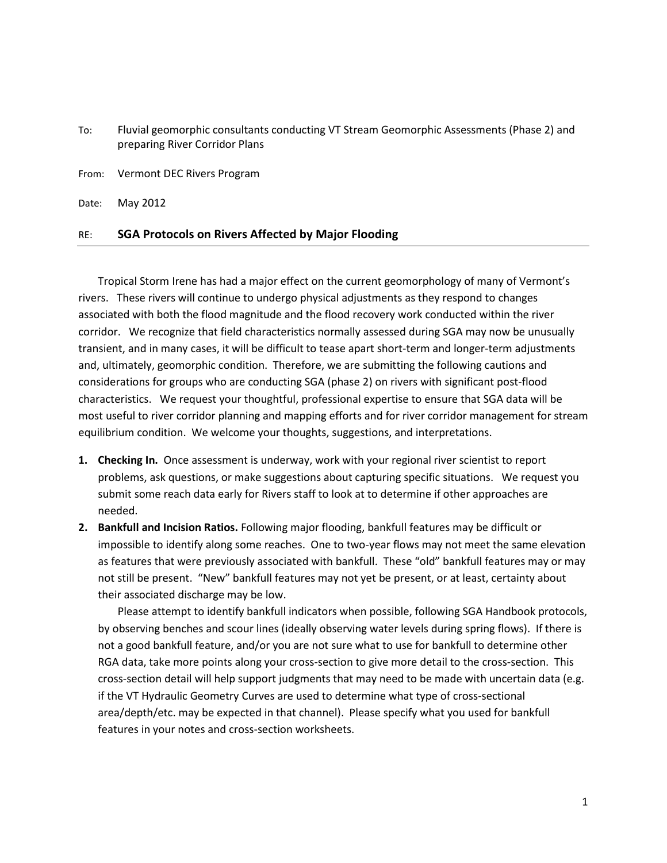| To: | Fluvial geomorphic consultants conducting VT Stream Geomorphic Assessments (Phase 2) and |
|-----|------------------------------------------------------------------------------------------|
|     | preparing River Corridor Plans                                                           |

From: Vermont DEC Rivers Program

Date: May 2012

## RE: **SGA Protocols on Rivers Affected by Major Flooding**

Tropical Storm Irene has had a major effect on the current geomorphology of many of Vermont's rivers. These rivers will continue to undergo physical adjustments as they respond to changes associated with both the flood magnitude and the flood recovery work conducted within the river corridor. We recognize that field characteristics normally assessed during SGA may now be unusually transient, and in many cases, it will be difficult to tease apart short-term and longer-term adjustments and, ultimately, geomorphic condition. Therefore, we are submitting the following cautions and considerations for groups who are conducting SGA (phase 2) on rivers with significant post-flood characteristics. We request your thoughtful, professional expertise to ensure that SGA data will be most useful to river corridor planning and mapping efforts and for river corridor management for stream equilibrium condition. We welcome your thoughts, suggestions, and interpretations.

- **1. Checking In.** Once assessment is underway, work with your regional river scientist to report problems, ask questions, or make suggestions about capturing specific situations. We request you submit some reach data early for Rivers staff to look at to determine if other approaches are needed.
- **2. Bankfull and Incision Ratios.** Following major flooding, bankfull features may be difficult or impossible to identify along some reaches. One to two-year flows may not meet the same elevation as features that were previously associated with bankfull. These "old" bankfull features may or may not still be present. "New" bankfull features may not yet be present, or at least, certainty about their associated discharge may be low.

Please attempt to identify bankfull indicators when possible, following SGA Handbook protocols, by observing benches and scour lines (ideally observing water levels during spring flows). If there is not a good bankfull feature, and/or you are not sure what to use for bankfull to determine other RGA data, take more points along your cross-section to give more detail to the cross-section. This cross-section detail will help support judgments that may need to be made with uncertain data (e.g. if the VT Hydraulic Geometry Curves are used to determine what type of cross-sectional area/depth/etc. may be expected in that channel). Please specify what you used for bankfull features in your notes and cross-section worksheets.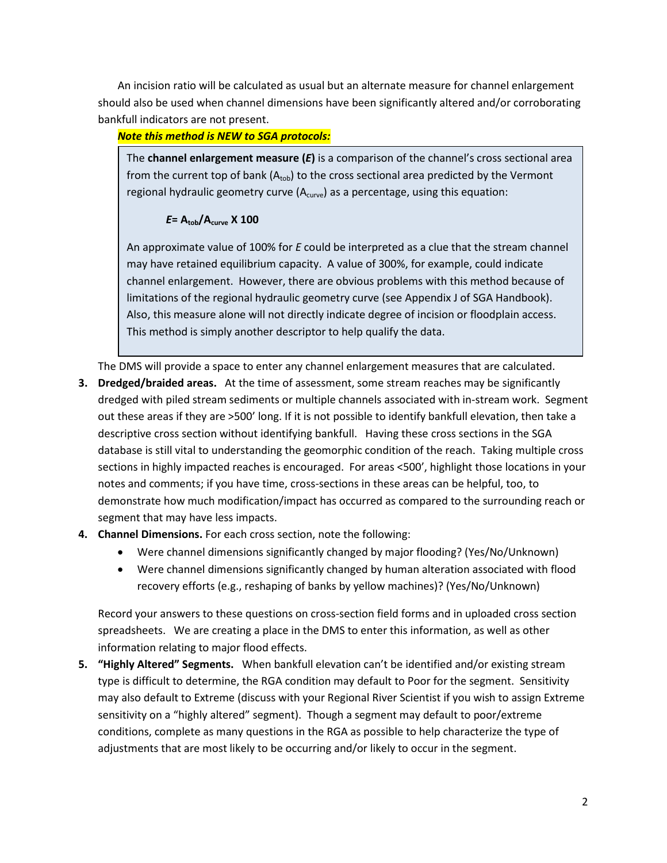An incision ratio will be calculated as usual but an alternate measure for channel enlargement should also be used when channel dimensions have been significantly altered and/or corroborating bankfull indicators are not present.

## *Note this method is NEW to SGA protocols:*

The **channel enlargement measure (***E***)** is a comparison of the channel's cross sectional area from the current top of bank  $(A_{\text{top}})$  to the cross sectional area predicted by the Vermont regional hydraulic geometry curve  $(A<sub>curve</sub>)$  as a percentage, using this equation:

## *E***= Atob/Acurve X 100**

An approximate value of 100% for *E* could be interpreted as a clue that the stream channel may have retained equilibrium capacity. A value of 300%, for example, could indicate channel enlargement. However, there are obvious problems with this method because of limitations of the regional hydraulic geometry curve (see Appendix J of SGA Handbook). Also, this measure alone will not directly indicate degree of incision or floodplain access. This method is simply another descriptor to help qualify the data.

The DMS will provide a space to enter any channel enlargement measures that are calculated.

- **3. Dredged/braided areas.** At the time of assessment, some stream reaches may be significantly dredged with piled stream sediments or multiple channels associated with in-stream work. Segment out these areas if they are >500' long. If it is not possible to identify bankfull elevation, then take a descriptive cross section without identifying bankfull. Having these cross sections in the SGA database is still vital to understanding the geomorphic condition of the reach. Taking multiple cross sections in highly impacted reaches is encouraged. For areas <500', highlight those locations in your notes and comments; if you have time, cross-sections in these areas can be helpful, too, to demonstrate how much modification/impact has occurred as compared to the surrounding reach or segment that may have less impacts.
- **4. Channel Dimensions.** For each cross section, note the following:
	- Were channel dimensions significantly changed by major flooding? (Yes/No/Unknown)
	- Were channel dimensions significantly changed by human alteration associated with flood recovery efforts (e.g., reshaping of banks by yellow machines)? (Yes/No/Unknown)

Record your answers to these questions on cross-section field forms and in uploaded cross section spreadsheets. We are creating a place in the DMS to enter this information, as well as other information relating to major flood effects.

**5. "Highly Altered" Segments.** When bankfull elevation can't be identified and/or existing stream type is difficult to determine, the RGA condition may default to Poor for the segment. Sensitivity may also default to Extreme (discuss with your Regional River Scientist if you wish to assign Extreme sensitivity on a "highly altered" segment). Though a segment may default to poor/extreme conditions, complete as many questions in the RGA as possible to help characterize the type of adjustments that are most likely to be occurring and/or likely to occur in the segment.